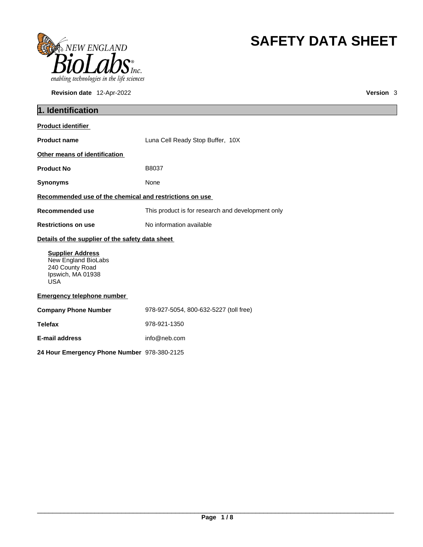

**Revision date** 12-Apr-2022 **Version** 3

# **SAFETY DATA SHEET**

| 1. Identification                                                                                    |                                                   |  |
|------------------------------------------------------------------------------------------------------|---------------------------------------------------|--|
| <b>Product identifier</b>                                                                            |                                                   |  |
| <b>Product name</b>                                                                                  | Luna Cell Ready Stop Buffer, 10X                  |  |
| Other means of identification                                                                        |                                                   |  |
| <b>Product No</b>                                                                                    | B8037                                             |  |
| <b>Synonyms</b>                                                                                      | None                                              |  |
| Recommended use of the chemical and restrictions on use                                              |                                                   |  |
| Recommended use                                                                                      | This product is for research and development only |  |
| <b>Restrictions on use</b>                                                                           | No information available                          |  |
| Details of the supplier of the safety data sheet                                                     |                                                   |  |
| <b>Supplier Address</b><br>New England BioLabs<br>240 County Road<br>Ipswich, MA 01938<br><b>USA</b> |                                                   |  |
| <b>Emergency telephone number</b>                                                                    |                                                   |  |
| <b>Company Phone Number</b>                                                                          | 978-927-5054, 800-632-5227 (toll free)            |  |
| <b>Telefax</b>                                                                                       | 978-921-1350                                      |  |
| E-mail address                                                                                       | info@neb.com                                      |  |
| 24 Hour Emergency Phone Number 978-380-2125                                                          |                                                   |  |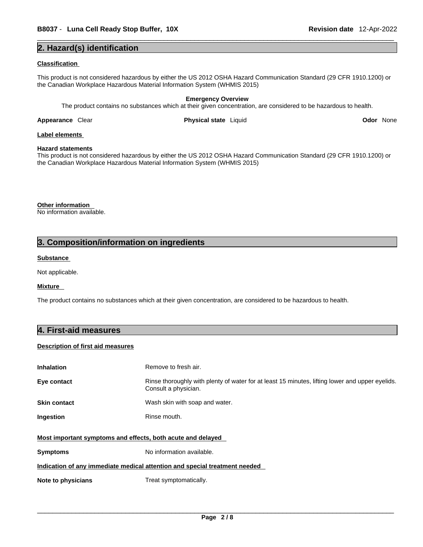#### **2. Hazard(s) identification**

#### **Classification**

This product is not considered hazardous by either the US 2012 OSHA Hazard Communication Standard (29 CFR 1910.1200) or the Canadian Workplace Hazardous Material Information System (WHMIS 2015)

**Emergency Overview** The product contains no substances which at their given concentration, are considered to be hazardous to health.

**Appearance Clear <b>Physical state** Liquid

**Odor** None

### **Label elements**

#### **Hazard statements**

This product is not considered hazardous by either the US 2012 OSHA Hazard Communication Standard (29 CFR 1910.1200) or the Canadian Workplace Hazardous Material Information System (WHMIS 2015)

**Other information**  No information available.

### **3. Composition/information on ingredients**

#### **Substance**

Not applicable.

#### **Mixture**

The product contains no substances which at their given concentration, are considered to be hazardous to health.

#### **4. First-aid measures**

#### **Description of first aid measures**

| <b>Inhalation</b>                                                          | Remove to fresh air.                                                                                                    |  |
|----------------------------------------------------------------------------|-------------------------------------------------------------------------------------------------------------------------|--|
| Eye contact                                                                | Rinse thoroughly with plenty of water for at least 15 minutes, lifting lower and upper eyelids.<br>Consult a physician. |  |
| <b>Skin contact</b>                                                        | Wash skin with soap and water.                                                                                          |  |
| <b>Ingestion</b>                                                           | Rinse mouth.                                                                                                            |  |
| Most important symptoms and effects, both acute and delayed                |                                                                                                                         |  |
| <b>Symptoms</b>                                                            | No information available.                                                                                               |  |
| Indication of any immediate medical attention and special treatment needed |                                                                                                                         |  |
| Note to physicians                                                         | Treat symptomatically.                                                                                                  |  |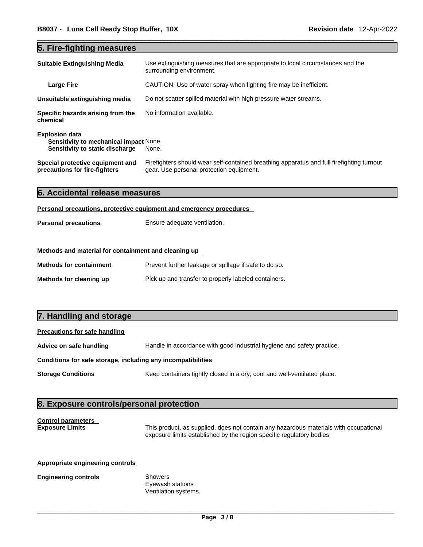# **5. Fire-fighting measures**

| <b>Suitable Extinguishing Media</b>                                                                       | Use extinguishing measures that are appropriate to local circumstances and the<br>surrounding environment.                            |
|-----------------------------------------------------------------------------------------------------------|---------------------------------------------------------------------------------------------------------------------------------------|
| <b>Large Fire</b>                                                                                         | CAUTION: Use of water spray when fighting fire may be inefficient.                                                                    |
| Unsuitable extinguishing media                                                                            | Do not scatter spilled material with high pressure water streams.                                                                     |
| Specific hazards arising from the<br>chemical                                                             | No information available.                                                                                                             |
| <b>Explosion data</b><br><b>Sensitivity to mechanical impact None.</b><br>Sensitivity to static discharge | None.                                                                                                                                 |
| Special protective equipment and<br>precautions for fire-fighters                                         | Firefighters should wear self-contained breathing apparatus and full firefighting turnout<br>gear. Use personal protection equipment. |

|  | 6. Accidental release measures |  |  |  |
|--|--------------------------------|--|--|--|
|--|--------------------------------|--|--|--|

#### **Personal precautions, protective equipment and emergency procedures**

| <b>Personal precautions</b> | Ensure adequate ventilation. |
|-----------------------------|------------------------------|
|-----------------------------|------------------------------|

#### **Methods and material for containment and cleaning up**

| <b>Methods for containment</b> | Prevent further leakage or spillage if safe to do so. |
|--------------------------------|-------------------------------------------------------|
| Methods for cleaning up        | Pick up and transfer to properly labeled containers.  |

#### **7. Handling and storage**

#### **Precautions for safe handling**

**Advice on safe handling** Handle in accordance with good industrial hygiene and safety practice.

#### **Conditions for safe storage, including any incompatibilities**

**Storage Conditions** Keep containers tightly closed in a dry, cool and well-ventilated place.

#### **8. Exposure controls/personal protection**

# **Control parameters**

**Exposure Limits** This product, as supplied, does not contain any hazardous materials with occupational exposure limits established by the region specific regulatory bodies

#### **Appropriate engineering controls**

#### **Engineering controls** Showers

Eyewash stations Ventilation systems.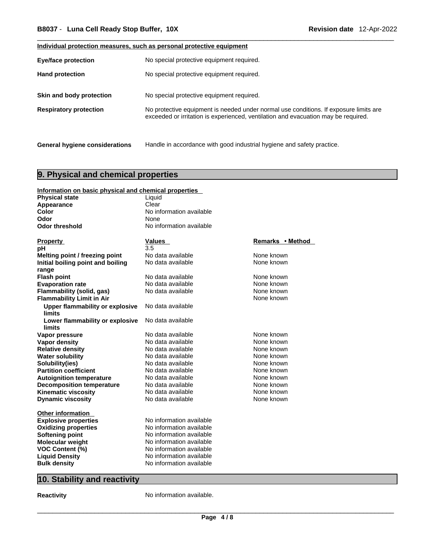#### **Individual protection measures, such as personal protective equipment**

| <b>Eye/face protection</b>            | No special protective equipment required.                                                                                                                                   |
|---------------------------------------|-----------------------------------------------------------------------------------------------------------------------------------------------------------------------------|
| <b>Hand protection</b>                | No special protective equipment required.                                                                                                                                   |
| Skin and body protection              | No special protective equipment required.                                                                                                                                   |
| <b>Respiratory protection</b>         | No protective equipment is needed under normal use conditions. If exposure limits are<br>exceeded or irritation is experienced, ventilation and evacuation may be required. |
| <b>General hygiene considerations</b> | Handle in accordance with good industrial hygiene and safety practice.                                                                                                      |

# **9. Physical and chemical properties**

| Information on basic physical and chemical properties |                          |                  |
|-------------------------------------------------------|--------------------------|------------------|
| <b>Physical state</b>                                 | Liquid                   |                  |
| Appearance                                            | Clear                    |                  |
| Color                                                 | No information available |                  |
| Odor                                                  | None                     |                  |
| <b>Odor threshold</b>                                 | No information available |                  |
|                                                       |                          |                  |
| <b>Property</b>                                       | Values                   | Remarks • Method |
| рH                                                    | 3.5                      |                  |
| Melting point / freezing point                        | No data available        | None known       |
| Initial boiling point and boiling                     | No data available        | None known       |
| range                                                 |                          |                  |
| <b>Flash point</b>                                    | No data available        | None known       |
| <b>Evaporation rate</b>                               | No data available        | None known       |
| Flammability (solid, gas)                             | No data available        | None known       |
| <b>Flammability Limit in Air</b>                      |                          | None known       |
| <b>Upper flammability or explosive</b>                | No data available        |                  |
| limits                                                |                          |                  |
| Lower flammability or explosive                       | No data available        |                  |
| limits                                                |                          |                  |
| Vapor pressure                                        | No data available        | None known       |
| <b>Vapor density</b>                                  | No data available        | None known       |
| <b>Relative density</b>                               | No data available        | None known       |
| <b>Water solubility</b>                               | No data available        | None known       |
| Solubility(ies)                                       | No data available        | None known       |
| <b>Partition coefficient</b>                          | No data available        | None known       |
| <b>Autoignition temperature</b>                       | No data available        | None known       |
| <b>Decomposition temperature</b>                      | No data available        | None known       |
| <b>Kinematic viscosity</b>                            | No data available        | None known       |
| <b>Dynamic viscosity</b>                              | No data available        | None known       |
| <b>Other information</b>                              |                          |                  |
| <b>Explosive properties</b>                           | No information available |                  |
| <b>Oxidizing properties</b>                           | No information available |                  |
| <b>Softening point</b>                                | No information available |                  |
| <b>Molecular weight</b>                               | No information available |                  |
| <b>VOC Content (%)</b>                                | No information available |                  |
| <b>Liquid Density</b>                                 | No information available |                  |
| <b>Bulk density</b>                                   | No information available |                  |
|                                                       |                          |                  |

# **10. Stability and reactivity**

**Reactivity No information available.**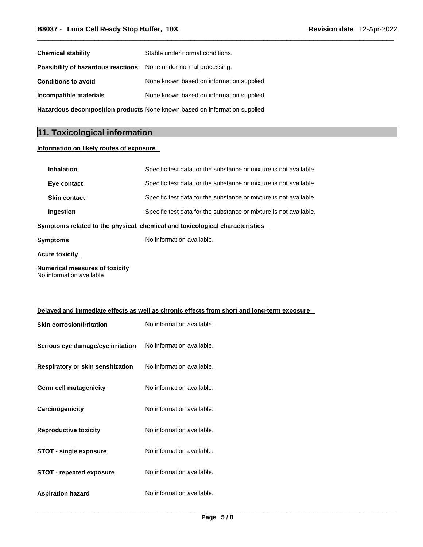| <b>Chemical stability</b>                                                  | Stable under normal conditions.           |  |
|----------------------------------------------------------------------------|-------------------------------------------|--|
| <b>Possibility of hazardous reactions</b> None under normal processing.    |                                           |  |
| <b>Conditions to avoid</b>                                                 | None known based on information supplied. |  |
| Incompatible materials                                                     | None known based on information supplied. |  |
| Hazardous decomposition products None known based on information supplied. |                                           |  |

# **11. Toxicological information**

#### **Information on likely routes of exposure**

| <b>Inhalation</b>                                                            | Specific test data for the substance or mixture is not available. |  |
|------------------------------------------------------------------------------|-------------------------------------------------------------------|--|
| Eye contact                                                                  | Specific test data for the substance or mixture is not available. |  |
| <b>Skin contact</b>                                                          | Specific test data for the substance or mixture is not available. |  |
| Ingestion                                                                    | Specific test data for the substance or mixture is not available. |  |
| Symptoms related to the physical, chemical and toxicological characteristics |                                                                   |  |
| Symptoms                                                                     | No information available.                                         |  |
|                                                                              |                                                                   |  |

**Acute toxicity**

**Numerical measures of toxicity** No information available

| Delayed and immediate effects as well as chronic effects from short and long-term exposure |                           |  |
|--------------------------------------------------------------------------------------------|---------------------------|--|
| <b>Skin corrosion/irritation</b>                                                           | No information available. |  |
| Serious eye damage/eye irritation                                                          | No information available. |  |
| Respiratory or skin sensitization                                                          | No information available. |  |
| Germ cell mutagenicity                                                                     | No information available. |  |
| Carcinogenicity                                                                            | No information available. |  |
| <b>Reproductive toxicity</b>                                                               | No information available. |  |
| <b>STOT - single exposure</b>                                                              | No information available. |  |
| <b>STOT - repeated exposure</b>                                                            | No information available. |  |

**Aspiration hazard** No information available.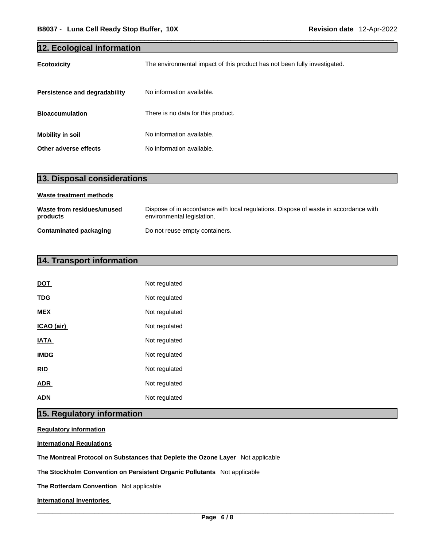| 12. Ecological information    |                                                                           |  |
|-------------------------------|---------------------------------------------------------------------------|--|
| <b>Ecotoxicity</b>            | The environmental impact of this product has not been fully investigated. |  |
| Persistence and degradability | No information available.                                                 |  |
| <b>Bioaccumulation</b>        | There is no data for this product.                                        |  |
| <b>Mobility in soil</b>       | No information available.                                                 |  |
| Other adverse effects         | No information available.                                                 |  |

| 13. Disposal considerations            |                                                                                                                    |
|----------------------------------------|--------------------------------------------------------------------------------------------------------------------|
| Waste treatment methods                |                                                                                                                    |
| Waste from residues/unused<br>products | Dispose of in accordance with local regulations. Dispose of waste in accordance with<br>environmental legislation. |
| <b>Contaminated packaging</b>          | Do not reuse empty containers.                                                                                     |

# **14. Transport information**

| DOT         | Not regulated |
|-------------|---------------|
| <b>TDG</b>  | Not regulated |
| <b>MEX</b>  | Not regulated |
| ICAO (air)  | Not regulated |
| <b>IATA</b> | Not regulated |
| <b>IMDG</b> | Not regulated |
| <b>RID</b>  | Not regulated |
| <b>ADR</b>  | Not regulated |
| ADN         | Not regulated |

# **15. Regulatory information**

**Regulatory information**

**International Regulations**

**The Montreal Protocol on Substances that Deplete the Ozone Layer** Not applicable

**The Stockholm Convention on Persistent Organic Pollutants** Not applicable

**The Rotterdam Convention** Not applicable

**International Inventories**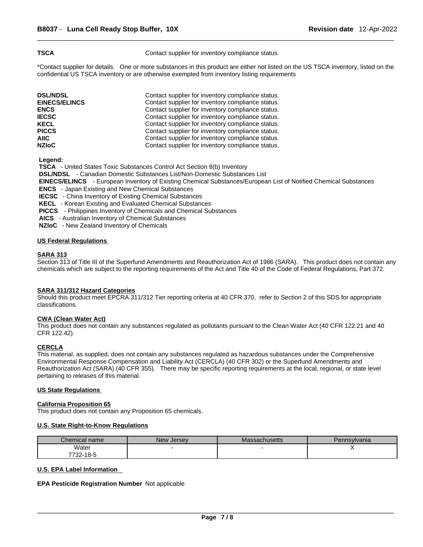**TSCA Contact supplier for inventory compliance status.** 

\*Contact supplier for details. One or more substances in this product are either not listed on the US TSCA inventory, listed on the confidential US TSCA inventory or are otherwise exempted from inventory listing requirements

| <b>DSL/NDSL</b>      | Contact supplier for inventory compliance status. |
|----------------------|---------------------------------------------------|
| <b>EINECS/ELINCS</b> | Contact supplier for inventory compliance status. |
| <b>ENCS</b>          | Contact supplier for inventory compliance status. |
| <b>IECSC</b>         | Contact supplier for inventory compliance status. |
| <b>KECL</b>          | Contact supplier for inventory compliance status. |
| <b>PICCS</b>         | Contact supplier for inventory compliance status. |
| AIIC                 | Contact supplier for inventory compliance status. |
| <b>NZIoC</b>         | Contact supplier for inventory compliance status. |

 **Legend:** 

 **TSCA** - United States Toxic Substances Control Act Section 8(b) Inventory  **DSL/NDSL** - Canadian Domestic Substances List/Non-Domestic Substances List  **EINECS/ELINCS** - European Inventory of Existing Chemical Substances/European List of Notified Chemical Substances  **ENCS** - Japan Existing and New Chemical Substances  **IECSC** - China Inventory of Existing Chemical Substances  **KECL** - Korean Existing and Evaluated Chemical Substances **PICCS** - Philippines Inventory of Chemicals and Chemical Substances  **AICS** - Australian Inventory of Chemical Substances

 **NZIoC** - New Zealand Inventory of Chemicals

#### **US Federal Regulations**

#### **SARA 313**

Section 313 of Title III of the Superfund Amendments and Reauthorization Act of 1986 (SARA). This product does not contain any chemicals which are subject to the reporting requirements of the Act and Title 40 of the Code of Federal Regulations, Part 372.

#### **SARA 311/312 Hazard Categories**

Should this product meet EPCRA 311/312 Tier reporting criteria at 40 CFR 370, refer to Section 2 of this SDS for appropriate classifications.

#### **CWA (Clean WaterAct)**

This product does not contain any substances regulated as pollutants pursuant to the Clean Water Act (40 CFR 122.21 and 40 CFR 122.42).

#### **CERCLA**

This material, as supplied, does not contain any substances regulated as hazardous substances under the Comprehensive Environmental Response Compensation and Liability Act (CERCLA) (40 CFR 302) or the Superfund Amendments and Reauthorization Act (SARA) (40 CFR 355). There may be specific reporting requirements at the local, regional, or state level pertaining to releases of this material.

#### **US State Regulations**

#### **California Proposition 65**

This product does not contain any Proposition 65 chemicals.

#### **U.S. State Right-to-Know Regulations**

| Chemical name        | New Jersey | Massachusetts | Pennsylvania |
|----------------------|------------|---------------|--------------|
| Water                |            |               |              |
| 732-18-5<br>- 7700 - |            |               |              |

#### **U.S. EPA Label Information**

#### **EPA Pesticide Registration Number** Not applicable